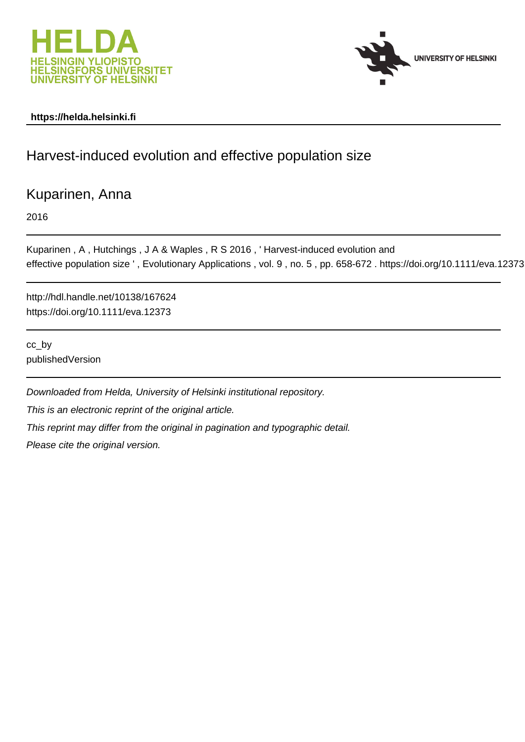



# **https://helda.helsinki.fi**

# Harvest-induced evolution and effective population size

# Kuparinen, Anna

2016

```
Kuparinen , A , Hutchings , J A & Waples , R S 2016 , ' Harvest-induced evolution and
effective population size ' , Evolutionary Applications , vol. 9 , no. 5 , pp. 658-672 . https://doi.org/10.1111/eva.12373
```
http://hdl.handle.net/10138/167624 https://doi.org/10.1111/eva.12373

cc\_by publishedVersion

Downloaded from Helda, University of Helsinki institutional repository. This is an electronic reprint of the original article. This reprint may differ from the original in pagination and typographic detail. Please cite the original version.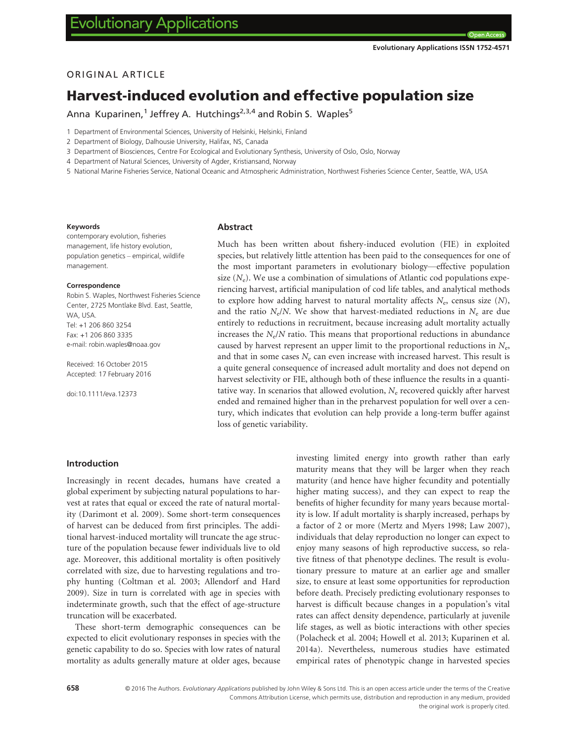Open A

# ORIGINAL ARTICLE

# Harvest-induced evolution and effective population size

Anna Kuparinen,<sup>1</sup> Jeffrey A. Hutchings<sup>2,3,4</sup> and Robin S. Waples<sup>5</sup>

1 Department of Environmental Sciences, University of Helsinki, Helsinki, Finland

2 Department of Biology, Dalhousie University, Halifax, NS, Canada

3 Department of Biosciences, Centre For Ecological and Evolutionary Synthesis, University of Oslo, Oslo, Norway

4 Department of Natural Sciences, University of Agder, Kristiansand, Norway

5 National Marine Fisheries Service, National Oceanic and Atmospheric Administration, Northwest Fisheries Science Center, Seattle, WA, USA

#### Keywords

contemporary evolution, fisheries management, life history evolution, population genetics – empirical, wildlife management.

#### Correspondence

Robin S. Waples, Northwest Fisheries Science Center, 2725 Montlake Blvd. East, Seattle, WA, USA. Tel: +1 206 860 3254 Fax: +1 206 860 3335 e-mail: robin.waples@noaa.gov

Received: 16 October 2015 Accepted: 17 February 2016

doi:10.1111/eva.12373

#### Abstract

Much has been written about fishery-induced evolution (FIE) in exploited species, but relatively little attention has been paid to the consequences for one of the most important parameters in evolutionary biology—effective population size  $(N_e)$ . We use a combination of simulations of Atlantic cod populations experiencing harvest, artificial manipulation of cod life tables, and analytical methods to explore how adding harvest to natural mortality affects  $N_e$ , census size  $(N)$ , and the ratio  $N_e/N$ . We show that harvest-mediated reductions in  $N_e$  are due entirely to reductions in recruitment, because increasing adult mortality actually increases the  $N_e/N$  ratio. This means that proportional reductions in abundance caused by harvest represent an upper limit to the proportional reductions in  $N_e$ , and that in some cases  $N_e$  can even increase with increased harvest. This result is a quite general consequence of increased adult mortality and does not depend on harvest selectivity or FIE, although both of these influence the results in a quantitative way. In scenarios that allowed evolution,  $N_e$  recovered quickly after harvest ended and remained higher than in the preharvest population for well over a century, which indicates that evolution can help provide a long-term buffer against loss of genetic variability.

# Introduction

Increasingly in recent decades, humans have created a global experiment by subjecting natural populations to harvest at rates that equal or exceed the rate of natural mortality (Darimont et al. 2009). Some short-term consequences of harvest can be deduced from first principles. The additional harvest-induced mortality will truncate the age structure of the population because fewer individuals live to old age. Moreover, this additional mortality is often positively correlated with size, due to harvesting regulations and trophy hunting (Coltman et al. 2003; Allendorf and Hard 2009). Size in turn is correlated with age in species with indeterminate growth, such that the effect of age-structure truncation will be exacerbated.

These short-term demographic consequences can be expected to elicit evolutionary responses in species with the genetic capability to do so. Species with low rates of natural mortality as adults generally mature at older ages, because investing limited energy into growth rather than early maturity means that they will be larger when they reach maturity (and hence have higher fecundity and potentially higher mating success), and they can expect to reap the benefits of higher fecundity for many years because mortality is low. If adult mortality is sharply increased, perhaps by a factor of 2 or more (Mertz and Myers 1998; Law 2007), individuals that delay reproduction no longer can expect to enjoy many seasons of high reproductive success, so relative fitness of that phenotype declines. The result is evolutionary pressure to mature at an earlier age and smaller size, to ensure at least some opportunities for reproduction before death. Precisely predicting evolutionary responses to harvest is difficult because changes in a population's vital rates can affect density dependence, particularly at juvenile life stages, as well as biotic interactions with other species (Polacheck et al. 2004; Howell et al. 2013; Kuparinen et al. 2014a). Nevertheless, numerous studies have estimated empirical rates of phenotypic change in harvested species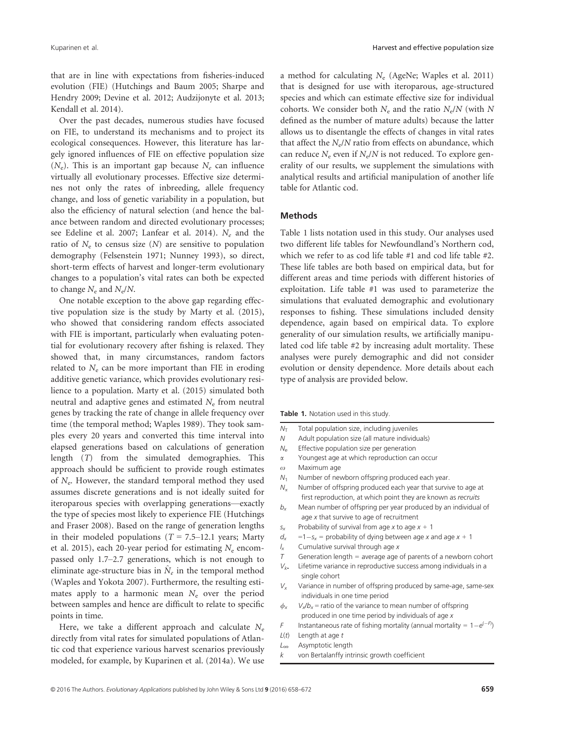that are in line with expectations from fisheries-induced evolution (FIE) (Hutchings and Baum 2005; Sharpe and Hendry 2009; Devine et al. 2012; Audzijonyte et al. 2013; Kendall et al. 2014).

Over the past decades, numerous studies have focused on FIE, to understand its mechanisms and to project its ecological consequences. However, this literature has largely ignored influences of FIE on effective population size  $(N_e)$ . This is an important gap because  $N_e$  can influence virtually all evolutionary processes. Effective size determines not only the rates of inbreeding, allele frequency change, and loss of genetic variability in a population, but also the efficiency of natural selection (and hence the balance between random and directed evolutionary processes; see Edeline et al. 2007; Lanfear et al. 2014).  $N_e$  and the ratio of  $N_e$  to census size  $(N)$  are sensitive to population demography (Felsenstein 1971; Nunney 1993), so direct, short-term effects of harvest and longer-term evolutionary changes to a population's vital rates can both be expected to change  $N_e$  and  $N_e/N$ .

One notable exception to the above gap regarding effective population size is the study by Marty et al. (2015), who showed that considering random effects associated with FIE is important, particularly when evaluating potential for evolutionary recovery after fishing is relaxed. They showed that, in many circumstances, random factors related to  $N_e$  can be more important than FIE in eroding additive genetic variance, which provides evolutionary resilience to a population. Marty et al. (2015) simulated both neutral and adaptive genes and estimated  $N_e$  from neutral genes by tracking the rate of change in allele frequency over time (the temporal method; Waples 1989). They took samples every 20 years and converted this time interval into elapsed generations based on calculations of generation length (T) from the simulated demographies. This approach should be sufficient to provide rough estimates of  $N_e$ . However, the standard temporal method they used assumes discrete generations and is not ideally suited for iteroparous species with overlapping generations—exactly the type of species most likely to experience FIE (Hutchings and Fraser 2008). Based on the range of generation lengths in their modeled populations ( $T = 7.5-12.1$  years; Marty et al. 2015), each 20-year period for estimating  $N_e$  encompassed only 1.7–2.7 generations, which is not enough to eliminate age-structure bias in  $N_e$  in the temporal method (Waples and Yokota 2007). Furthermore, the resulting estimates apply to a harmonic mean  $N_e$  over the period between samples and hence are difficult to relate to specific points in time.

Here, we take a different approach and calculate  $N_e$ directly from vital rates for simulated populations of Atlantic cod that experience various harvest scenarios previously modeled, for example, by Kuparinen et al. (2014a). We use a method for calculating  $N_e$  (AgeNe; Waples et al. 2011) that is designed for use with iteroparous, age-structured species and which can estimate effective size for individual cohorts. We consider both  $N_e$  and the ratio  $N_e/N$  (with N defined as the number of mature adults) because the latter allows us to disentangle the effects of changes in vital rates that affect the  $N_e/N$  ratio from effects on abundance, which can reduce  $N_e$  even if  $N_e/N$  is not reduced. To explore generality of our results, we supplement the simulations with analytical results and artificial manipulation of another life table for Atlantic cod.

# Methods

Table 1 lists notation used in this study. Our analyses used two different life tables for Newfoundland's Northern cod, which we refer to as cod life table #1 and cod life table #2. These life tables are both based on empirical data, but for different areas and time periods with different histories of exploitation. Life table #1 was used to parameterize the simulations that evaluated demographic and evolutionary responses to fishing. These simulations included density dependence, again based on empirical data. To explore generality of our simulation results, we artificially manipulated cod life table #2 by increasing adult mortality. These analyses were purely demographic and did not consider evolution or density dependence. More details about each type of analysis are provided below.

- $N<sub>T</sub>$  Total population size, including juveniles<br> $N$  Adult population size (all mature individi
- Adult population size (all mature individuals)
- $N_e$  Effective population size per generation
- $\alpha$  Youngest age at which reproduction can occur
- $\omega$  Maximum age
- $N_1$  Number of newborn offspring produced each year.
- $N_a$  Number of offspring produced each year that survive to age at first reproduction, at which point they are known as recruits
- $b_x$  Mean number of offspring per year produced by an individual of age x that survive to age of recruitment
- $s_x$  Probability of survival from age x to age  $x + 1$
- $d_x$  = 1 s<sub>x</sub> = probability of dying between age x and age x + 1<br>  $l_x$  Cumulative survival through age x
- Cumulative survival through age  $x$
- $T$  Generation length = average age of parents of a newborn cohort
- $V_k$ . Lifetime variance in reproductive success among individuals in a single cohort
- $V_x$  Variance in number of offspring produced by same-age, same-sex individuals in one time period
- $\phi_x$  V<sub>x</sub>/b<sub>x</sub> = ratio of the variance to mean number of offspring produced in one time period by individuals of age x
- F Instantaneous rate of fishing mortality (annual mortality =  $1-e^{(-F)}$ )
- $L(t)$  Length at age  $t$
- L<sup>∞</sup> Asymptotic length
- $k$  von Bertalanffy intrinsic growth coefficient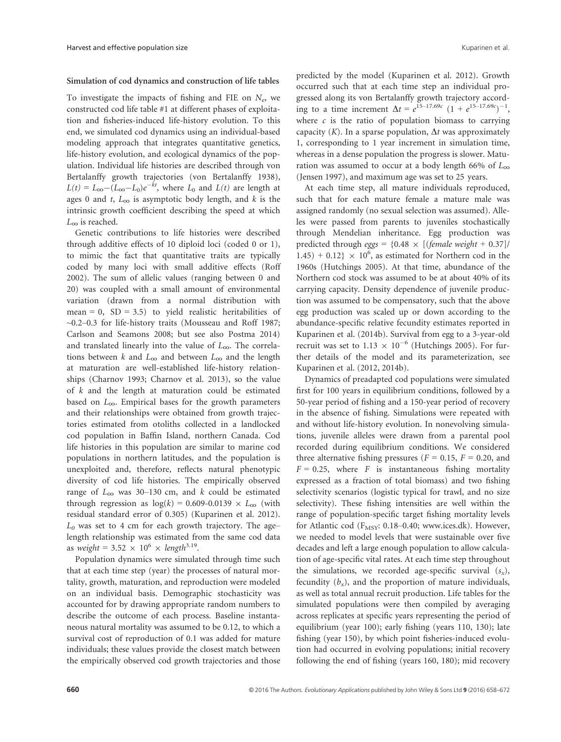#### Simulation of cod dynamics and construction of life tables

To investigate the impacts of fishing and FIE on  $N_e$ , we constructed cod life table #1 at different phases of exploitation and fisheries-induced life-history evolution. To this end, we simulated cod dynamics using an individual-based modeling approach that integrates quantitative genetics, life-history evolution, and ecological dynamics of the population. Individual life histories are described through von Bertalanffy growth trajectories (von Bertalanffy 1938),  $L(t) = L_{\infty} - (L_{\infty} - L_0)e^{-kt}$ , where  $L_0$  and  $L(t)$  are length at ages 0 and t,  $L_{\infty}$  is asymptotic body length, and k is the intrinsic growth coefficient describing the speed at which  $L_{\infty}$  is reached.

Genetic contributions to life histories were described through additive effects of 10 diploid loci (coded 0 or 1), to mimic the fact that quantitative traits are typically coded by many loci with small additive effects (Roff 2002). The sum of allelic values (ranging between 0 and 20) was coupled with a small amount of environmental variation (drawn from a normal distribution with mean = 0,  $SD = 3.5$ ) to yield realistic heritabilities of ~0.2–0.3 for life-history traits (Mousseau and Roff 1987; Carlson and Seamons 2008; but see also Postma 2014) and translated linearly into the value of  $L_{\infty}$ . The correlations between  $k$  and  $L_{\infty}$  and between  $L_{\infty}$  and the length at maturation are well-established life-history relationships (Charnov 1993; Charnov et al. 2013), so the value of k and the length at maturation could be estimated based on  $L_{\infty}$ . Empirical bases for the growth parameters and their relationships were obtained from growth trajectories estimated from otoliths collected in a landlocked cod population in Baffin Island, northern Canada. Cod life histories in this population are similar to marine cod populations in northern latitudes, and the population is unexploited and, therefore, reflects natural phenotypic diversity of cod life histories. The empirically observed range of  $L_{\infty}$  was 30–130 cm, and k could be estimated through regression as  $log(k) = 0.609 - 0.0139 \times L_{\infty}$  (with residual standard error of 0.305) (Kuparinen et al. 2012).  $L_0$  was set to 4 cm for each growth trajectory. The age– length relationship was estimated from the same cod data as weight = 3.52  $\times$  10<sup>6</sup>  $\times$  length<sup>3.19</sup>.

Population dynamics were simulated through time such that at each time step (year) the processes of natural mortality, growth, maturation, and reproduction were modeled on an individual basis. Demographic stochasticity was accounted for by drawing appropriate random numbers to describe the outcome of each process. Baseline instantaneous natural mortality was assumed to be 0.12, to which a survival cost of reproduction of 0.1 was added for mature individuals; these values provide the closest match between the empirically observed cod growth trajectories and those predicted by the model (Kuparinen et al. 2012). Growth occurred such that at each time step an individual progressed along its von Bertalanffy growth trajectory according to a time increment  $\Delta t = e^{15-17.69c} (1 + e^{15-17.69c})^{-1}$ , where  $c$  is the ratio of population biomass to carrying capacity (K). In a sparse population,  $\Delta t$  was approximately 1, corresponding to 1 year increment in simulation time, whereas in a dense population the progress is slower. Maturation was assumed to occur at a body length 66% of  $L_{\infty}$ (Jensen 1997), and maximum age was set to 25 years.

At each time step, all mature individuals reproduced, such that for each mature female a mature male was assigned randomly (no sexual selection was assumed). Alleles were passed from parents to juveniles stochastically through Mendelian inheritance. Egg production was predicted through eggs =  $\{0.48 \times [(female weight + 0.37])\}$  $1.45$ ) + 0.12}  $\times$  10<sup>6</sup>, as estimated for Northern cod in the 1960s (Hutchings 2005). At that time, abundance of the Northern cod stock was assumed to be at about 40% of its carrying capacity. Density dependence of juvenile production was assumed to be compensatory, such that the above egg production was scaled up or down according to the abundance-specific relative fecundity estimates reported in Kuparinen et al. (2014b). Survival from egg to a 3-year-old recruit was set to 1.13  $\times$  10<sup>-6</sup> (Hutchings 2005). For further details of the model and its parameterization, see Kuparinen et al. (2012, 2014b).

Dynamics of preadapted cod populations were simulated first for 100 years in equilibrium conditions, followed by a 50-year period of fishing and a 150-year period of recovery in the absence of fishing. Simulations were repeated with and without life-history evolution. In nonevolving simulations, juvenile alleles were drawn from a parental pool recorded during equilibrium conditions. We considered three alternative fishing pressures ( $F = 0.15$ ,  $F = 0.20$ , and  $F = 0.25$ , where F is instantaneous fishing mortality expressed as a fraction of total biomass) and two fishing selectivity scenarios (logistic typical for trawl, and no size selectivity). These fishing intensities are well within the range of population-specific target fishing mortality levels for Atlantic cod ( $F_{MSY}$ : 0.18–0.40; [www.ices.dk\)](http://www.ices.dk). However, we needed to model levels that were sustainable over five decades and left a large enough population to allow calculation of age-specific vital rates. At each time step throughout the simulations, we recorded age-specific survival  $(s_x)$ , fecundity  $(b_x)$ , and the proportion of mature individuals, as well as total annual recruit production. Life tables for the simulated populations were then compiled by averaging across replicates at specific years representing the period of equilibrium (year 100); early fishing (years 110, 130); late fishing (year 150), by which point fisheries-induced evolution had occurred in evolving populations; initial recovery following the end of fishing (years 160, 180); mid recovery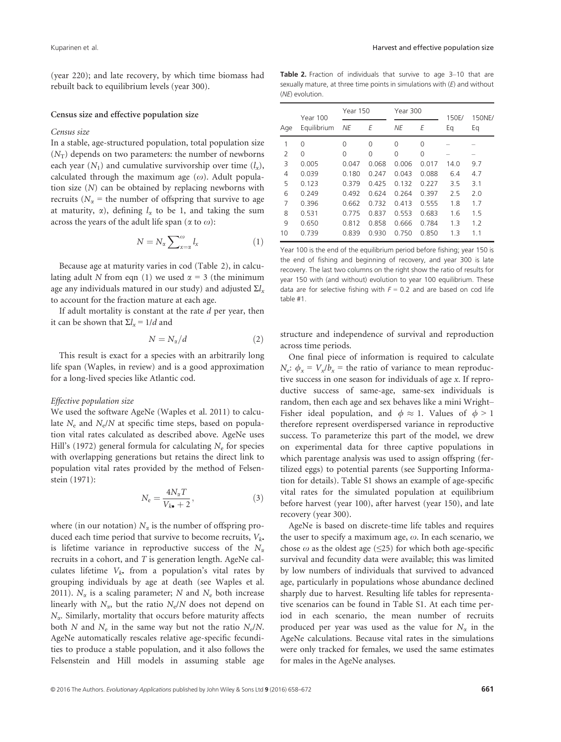(year 220); and late recovery, by which time biomass had rebuilt back to equilibrium levels (year 300).

Census size and effective population size

#### Census size

In a stable, age-structured population, total population size  $(N_T)$  depends on two parameters: the number of newborns each year  $(N_1)$  and cumulative survivorship over time  $(l_x)$ , calculated through the maximum age  $(\omega)$ . Adult population size (N) can be obtained by replacing newborns with recruits ( $N_\alpha$  = the number of offspring that survive to age at maturity,  $\alpha$ ), defining  $l_{\alpha}$  to be 1, and taking the sum across the years of the adult life span ( $\alpha$  to  $\omega$ ):

$$
N = N_{\alpha} \sum_{x=\alpha}^{\omega} l_{x}
$$
 (1)

Because age at maturity varies in cod (Table 2), in calculating adult N from eqn (1) we used  $\alpha = 3$  (the minimum age any individuals matured in our study) and adjusted  $\Sigma l_{x}$ to account for the fraction mature at each age.

If adult mortality is constant at the rate  $d$  per year, then it can be shown that  $\Sigma l_x = 1/d$  and

$$
N = N_{\alpha}/d \tag{2}
$$

This result is exact for a species with an arbitrarily long life span (Waples, in review) and is a good approximation for a long-lived species like Atlantic cod.

#### Effective population size

We used the software AgeNe (Waples et al. 2011) to calculate  $N_e$  and  $N_e/N$  at specific time steps, based on population vital rates calculated as described above. AgeNe uses Hill's (1972) general formula for calculating  $N_e$  for species with overlapping generations but retains the direct link to population vital rates provided by the method of Felsenstein (1971):

$$
N_{\rm e} = \frac{4N_{\alpha}T}{V_{k\bullet} + 2},\tag{3}
$$

where (in our notation)  $N_{\alpha}$  is the number of offspring produced each time period that survive to become recruits,  $V_{k\bullet}$ is lifetime variance in reproductive success of the  $N_{\alpha}$ recruits in a cohort, and  $T$  is generation length. AgeNe calculates lifetime  $V_{k^*}$  from a population's vital rates by grouping individuals by age at death (see Waples et al. 2011).  $N_{\alpha}$  is a scaling parameter; N and  $N_{\rm e}$  both increase linearly with  $N_{\alpha}$ , but the ratio  $N_{\rm e}/N$  does not depend on  $N_{\alpha}$ . Similarly, mortality that occurs before maturity affects both N and  $N_e$  in the same way but not the ratio  $N_e/N$ . AgeNe automatically rescales relative age-specific fecundities to produce a stable population, and it also follows the Felsenstein and Hill models in assuming stable age

Table 2. Fraction of individuals that survive to age 3-10 that are sexually mature, at three time points in simulations with  $(E)$  and without (NE) evolution.

|     | <b>Year 100</b> | Year 150 |          | Year 300 |       | 150E/ | 150NE/<br>Eq |  |
|-----|-----------------|----------|----------|----------|-------|-------|--------------|--|
| Age | Equilibrium     | ΝE       | F        | ΝE       | Е     | Eq    |              |  |
| 1   | 0               | 0        | $\Omega$ | 0        | 0     |       |              |  |
| 2   | 0               | 0        | $\Omega$ | 0        | 0     |       |              |  |
| 3   | 0.005           | 0.047    | 0.068    | 0.006    | 0.017 | 14.0  | 9.7          |  |
| 4   | 0.039           | 0.180    | 0.247    | 0.043    | 0.088 | 6.4   | 4.7          |  |
| 5   | 0.123           | 0.379    | 0.425    | 0.132    | 0.227 | 3.5   | 3.1          |  |
| 6   | 0.249           | 0.492    | 0.624    | 0.264    | 0.397 | 2.5   | 2.0          |  |
| 7   | 0.396           | 0.662    | 0.732    | 0.413    | 0.555 | 1.8   | 1.7          |  |
| 8   | 0.531           | 0.775    | 0.837    | 0.553    | 0.683 | 1.6   | 1.5          |  |
| 9   | 0.650           | 0.812    | 0.858    | 0.666    | 0.784 | 1.3   | 1.2          |  |
| 10  | 0.739           | 0.839    | 0.930    | 0.750    | 0.850 | 1.3   | 1.1          |  |

Year 100 is the end of the equilibrium period before fishing; year 150 is the end of fishing and beginning of recovery, and year 300 is late recovery. The last two columns on the right show the ratio of results for year 150 with (and without) evolution to year 100 equilibrium. These data are for selective fishing with  $F = 0.2$  and are based on cod life table #1.

structure and independence of survival and reproduction across time periods.

One final piece of information is required to calculate  $N_e$ :  $\phi_x = V_x/b_x$  = the ratio of variance to mean reproductive success in one season for individuals of age x. If reproductive success of same-age, same-sex individuals is random, then each age and sex behaves like a mini Wright– Fisher ideal population, and  $\phi \approx 1$ . Values of  $\phi > 1$ therefore represent overdispersed variance in reproductive success. To parameterize this part of the model, we drew on experimental data for three captive populations in which parentage analysis was used to assign offspring (fertilized eggs) to potential parents (see Supporting Information for details). Table S1 shows an example of age-specific vital rates for the simulated population at equilibrium before harvest (year 100), after harvest (year 150), and late recovery (year 300).

AgeNe is based on discrete-time life tables and requires the user to specify a maximum age,  $\omega$ . In each scenario, we chose  $\omega$  as the oldest age ( $\leq$ 25) for which both age-specific survival and fecundity data were available; this was limited by low numbers of individuals that survived to advanced age, particularly in populations whose abundance declined sharply due to harvest. Resulting life tables for representative scenarios can be found in Table S1. At each time period in each scenario, the mean number of recruits produced per year was used as the value for  $N_{\alpha}$  in the AgeNe calculations. Because vital rates in the simulations were only tracked for females, we used the same estimates for males in the AgeNe analyses.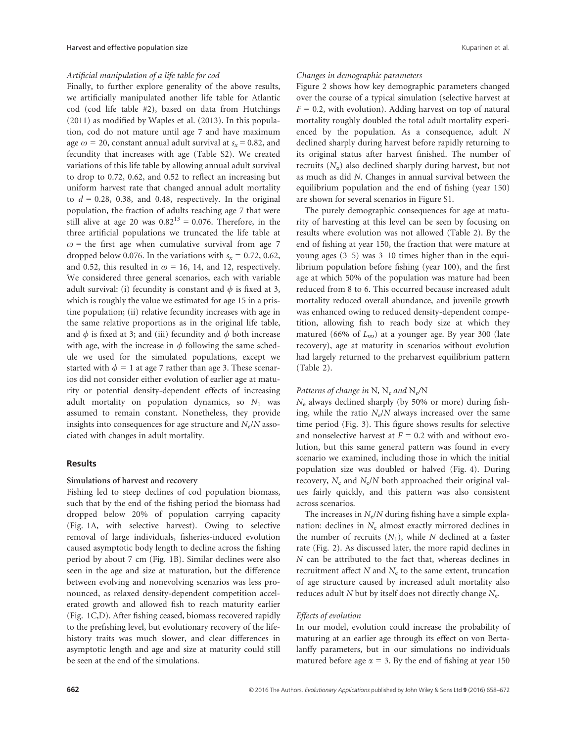#### Artificial manipulation of a life table for cod

Finally, to further explore generality of the above results, we artificially manipulated another life table for Atlantic cod (cod life table #2), based on data from Hutchings (2011) as modified by Waples et al. (2013). In this population, cod do not mature until age 7 and have maximum age  $\omega$  = 20, constant annual adult survival at  $s_x$  = 0.82, and fecundity that increases with age (Table S2). We created variations of this life table by allowing annual adult survival to drop to 0.72, 0.62, and 0.52 to reflect an increasing but uniform harvest rate that changed annual adult mortality to  $d = 0.28$ , 0.38, and 0.48, respectively. In the original population, the fraction of adults reaching age 7 that were still alive at age 20 was  $0.82^{13} = 0.076$ . Therefore, in the three artificial populations we truncated the life table at  $\omega$  = the first age when cumulative survival from age 7 dropped below 0.076. In the variations with  $s_x = 0.72, 0.62$ , and 0.52, this resulted in  $\omega$  = 16, 14, and 12, respectively. We considered three general scenarios, each with variable adult survival: (i) fecundity is constant and  $\phi$  is fixed at 3, which is roughly the value we estimated for age 15 in a pristine population; (ii) relative fecundity increases with age in the same relative proportions as in the original life table, and  $\phi$  is fixed at 3; and (iii) fecundity and  $\phi$  both increase with age, with the increase in  $\phi$  following the same schedule we used for the simulated populations, except we started with  $\phi = 1$  at age 7 rather than age 3. These scenarios did not consider either evolution of earlier age at maturity or potential density-dependent effects of increasing adult mortality on population dynamics, so  $N_1$  was assumed to remain constant. Nonetheless, they provide insights into consequences for age structure and  $N_e/N$  associated with changes in adult mortality.

# Results

### Simulations of harvest and recovery

Fishing led to steep declines of cod population biomass, such that by the end of the fishing period the biomass had dropped below 20% of population carrying capacity (Fig. 1A, with selective harvest). Owing to selective removal of large individuals, fisheries-induced evolution caused asymptotic body length to decline across the fishing period by about 7 cm (Fig. 1B). Similar declines were also seen in the age and size at maturation, but the difference between evolving and nonevolving scenarios was less pronounced, as relaxed density-dependent competition accelerated growth and allowed fish to reach maturity earlier (Fig. 1C,D). After fishing ceased, biomass recovered rapidly to the prefishing level, but evolutionary recovery of the lifehistory traits was much slower, and clear differences in asymptotic length and age and size at maturity could still be seen at the end of the simulations.

#### Changes in demographic parameters

Figure 2 shows how key demographic parameters changed over the course of a typical simulation (selective harvest at  $F = 0.2$ , with evolution). Adding harvest on top of natural mortality roughly doubled the total adult mortality experienced by the population. As a consequence, adult N declined sharply during harvest before rapidly returning to its original status after harvest finished. The number of recruits  $(N_{\alpha})$  also declined sharply during harvest, but not as much as did N. Changes in annual survival between the equilibrium population and the end of fishing (year 150) are shown for several scenarios in Figure S1.

The purely demographic consequences for age at maturity of harvesting at this level can be seen by focusing on results where evolution was not allowed (Table 2). By the end of fishing at year 150, the fraction that were mature at young ages (3–5) was 3–10 times higher than in the equilibrium population before fishing (year 100), and the first age at which 50% of the population was mature had been reduced from 8 to 6. This occurred because increased adult mortality reduced overall abundance, and juvenile growth was enhanced owing to reduced density-dependent competition, allowing fish to reach body size at which they matured (66% of  $L_{\infty}$ ) at a younger age. By year 300 (late recovery), age at maturity in scenarios without evolution had largely returned to the preharvest equilibrium pattern (Table 2).

#### Patterns of change in N, N<sub>e</sub> and N<sub>e</sub>/N

 $N_e$  always declined sharply (by 50% or more) during fishing, while the ratio  $N_e/N$  always increased over the same time period (Fig. 3). This figure shows results for selective and nonselective harvest at  $F = 0.2$  with and without evolution, but this same general pattern was found in every scenario we examined, including those in which the initial population size was doubled or halved (Fig. 4). During recovery,  $N_e$  and  $N_e/N$  both approached their original values fairly quickly, and this pattern was also consistent across scenarios.

The increases in  $N_e/N$  during fishing have a simple explanation: declines in  $N_e$  almost exactly mirrored declines in the number of recruits  $(N_1)$ , while N declined at a faster rate (Fig. 2). As discussed later, the more rapid declines in N can be attributed to the fact that, whereas declines in recruitment affect  $N$  and  $N_e$  to the same extent, truncation of age structure caused by increased adult mortality also reduces adult N but by itself does not directly change  $N_e$ .

#### Effects of evolution

In our model, evolution could increase the probability of maturing at an earlier age through its effect on von Bertalanffy parameters, but in our simulations no individuals matured before age  $\alpha = 3$ . By the end of fishing at year 150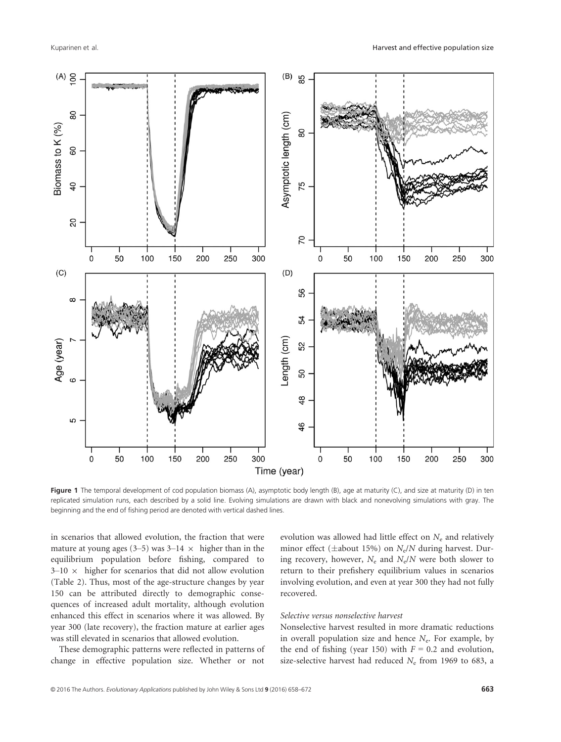

Figure 1 The temporal development of cod population biomass (A), asymptotic body length (B), age at maturity (C), and size at maturity (D) in ten replicated simulation runs, each described by a solid line. Evolving simulations are drawn with black and nonevolving simulations with gray. The beginning and the end of fishing period are denoted with vertical dashed lines.

in scenarios that allowed evolution, the fraction that were mature at young ages (3–5) was  $3-14 \times$  higher than in the equilibrium population before fishing, compared to  $3-10 \times$  higher for scenarios that did not allow evolution (Table 2). Thus, most of the age-structure changes by year 150 can be attributed directly to demographic consequences of increased adult mortality, although evolution enhanced this effect in scenarios where it was allowed. By year 300 (late recovery), the fraction mature at earlier ages was still elevated in scenarios that allowed evolution.

These demographic patterns were reflected in patterns of change in effective population size. Whether or not

evolution was allowed had little effect on  $N_e$  and relatively minor effect ( $\pm$ about 15%) on N<sub>e</sub>/N during harvest. During recovery, however,  $N_e$  and  $N_e/N$  were both slower to return to their prefishery equilibrium values in scenarios involving evolution, and even at year 300 they had not fully recovered.

#### Selective versus nonselective harvest

Nonselective harvest resulted in more dramatic reductions in overall population size and hence  $N_e$ . For example, by the end of fishing (year 150) with  $F = 0.2$  and evolution, size-selective harvest had reduced  $N_e$  from 1969 to 683, a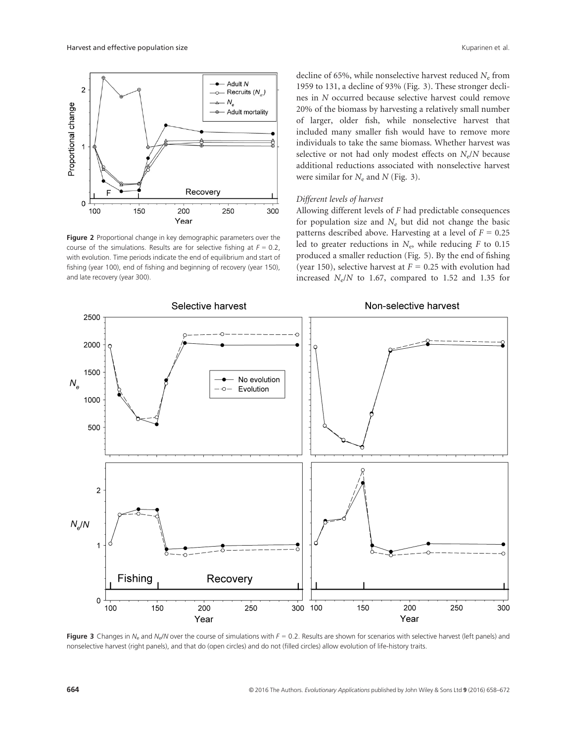

Figure 2 Proportional change in key demographic parameters over the course of the simulations. Results are for selective fishing at  $F = 0.2$ , with evolution. Time periods indicate the end of equilibrium and start of fishing (year 100), end of fishing and beginning of recovery (year 150), and late recovery (year 300).

decline of 65%, while nonselective harvest reduced  $N_e$  from 1959 to 131, a decline of 93% (Fig. 3). These stronger declines in N occurred because selective harvest could remove 20% of the biomass by harvesting a relatively small number of larger, older fish, while nonselective harvest that included many smaller fish would have to remove more individuals to take the same biomass. Whether harvest was selective or not had only modest effects on  $N_e/N$  because additional reductions associated with nonselective harvest were similar for  $N_e$  and N (Fig. 3).

# Different levels of harvest

Allowing different levels of F had predictable consequences for population size and  $N_e$  but did not change the basic patterns described above. Harvesting at a level of  $F = 0.25$ led to greater reductions in  $N_e$ , while reducing F to 0.15 produced a smaller reduction (Fig. 5). By the end of fishing (year 150), selective harvest at  $F = 0.25$  with evolution had increased  $N_e/N$  to 1.67, compared to 1.52 and 1.35 for



Figure 3 Changes in  $N_e$  and  $N_e/N$  over the course of simulations with  $F = 0.2$ . Results are shown for scenarios with selective harvest (left panels) and nonselective harvest (right panels), and that do (open circles) and do not (filled circles) allow evolution of life-history traits.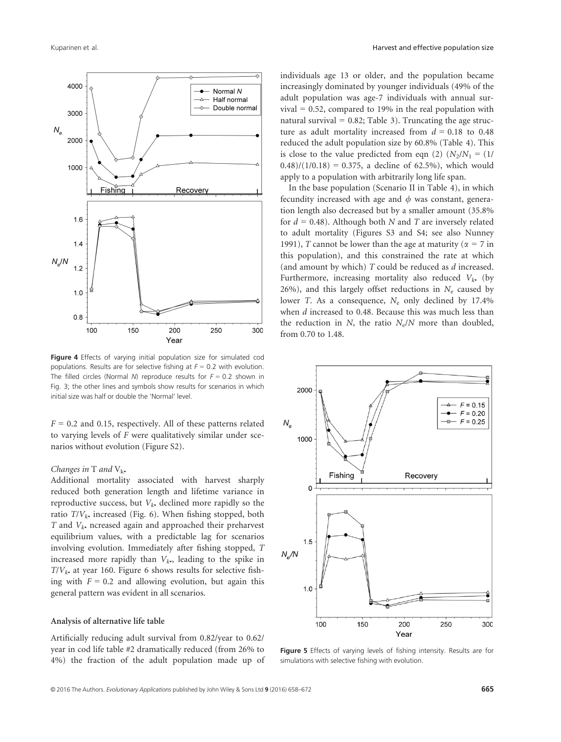

Figure 4 Effects of varying initial population size for simulated cod populations. Results are for selective fishing at  $F = 0.2$  with evolution. The filled circles (Normal N) reproduce results for  $F = 0.2$  shown in Fig. 3; the other lines and symbols show results for scenarios in which initial size was half or double the 'Normal' level.

 $F = 0.2$  and 0.15, respectively. All of these patterns related to varying levels of  $F$  were qualitatively similar under scenarios without evolution (Figure S2).

### Changes in T and  $V_{k\bullet}$

Additional mortality associated with harvest sharply reduced both generation length and lifetime variance in reproductive success, but  $V_k$  declined more rapidly so the ratio  $T/V_k$ , increased (Fig. 6). When fishing stopped, both T and  $V_{k\bullet}$  ncreased again and approached their preharvest equilibrium values, with a predictable lag for scenarios involving evolution. Immediately after fishing stopped, T increased more rapidly than  $V_k$ , leading to the spike in  $T/V_k$ • at year 160. Figure 6 shows results for selective fishing with  $F = 0.2$  and allowing evolution, but again this general pattern was evident in all scenarios.

### Analysis of alternative life table

Artificially reducing adult survival from 0.82/year to 0.62/ year in cod life table #2 dramatically reduced (from 26% to 4%) the fraction of the adult population made up of individuals age 13 or older, and the population became increasingly dominated by younger individuals (49% of the adult population was age-7 individuals with annual survival = 0.52, compared to 19% in the real population with natural survival =  $0.82$ ; Table 3). Truncating the age structure as adult mortality increased from  $d = 0.18$  to 0.48 reduced the adult population size by 60.8% (Table 4). This is close to the value predicted from eqn (2)  $(N_2/N_1 = (1/$  $(0.48)/(1/0.18) = 0.375$ , a decline of 62.5%), which would apply to a population with arbitrarily long life span.

In the base population (Scenario II in Table 4), in which fecundity increased with age and  $\phi$  was constant, generation length also decreased but by a smaller amount (35.8% for  $d = 0.48$ ). Although both N and T are inversely related to adult mortality (Figures S3 and S4; see also Nunney 1991), T cannot be lower than the age at maturity ( $\alpha = 7$  in this population), and this constrained the rate at which (and amount by which) T could be reduced as d increased. Furthermore, increasing mortality also reduced  $V_k$ , (by 26%), and this largely offset reductions in  $N_e$  caused by lower T. As a consequence,  $N_e$  only declined by 17.4% when *d* increased to 0.48. Because this was much less than the reduction in N, the ratio  $N_e/N$  more than doubled, from 0.70 to 1.48.



Figure 5 Effects of varying levels of fishing intensity. Results are for simulations with selective fishing with evolution.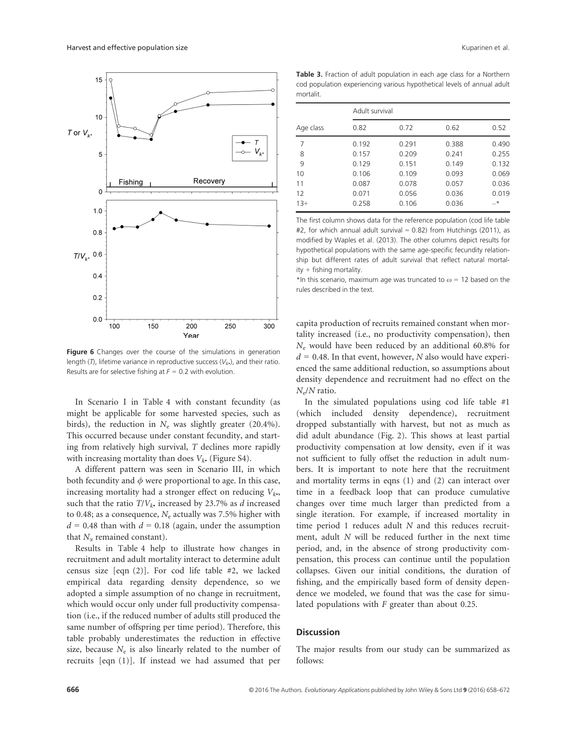

Figure 6 Changes over the course of the simulations in generation length (T), lifetime variance in reproductive success ( $V_k$ ), and their ratio. Results are for selective fishing at  $F = 0.2$  with evolution.

In Scenario I in Table 4 with constant fecundity (as might be applicable for some harvested species, such as birds), the reduction in  $N_e$  was slightly greater (20.4%). This occurred because under constant fecundity, and starting from relatively high survival, T declines more rapidly with increasing mortality than does  $V_{k^*}$  (Figure S4).

A different pattern was seen in Scenario III, in which both fecundity and  $\phi$  were proportional to age. In this case, increasing mortality had a stronger effect on reducing  $V_k$ . such that the ratio  $T/V_k$  increased by 23.7% as d increased to 0.48; as a consequence,  $N_e$  actually was 7.5% higher with  $d = 0.48$  than with  $d = 0.18$  (again, under the assumption that  $N_{\alpha}$  remained constant).

Results in Table 4 help to illustrate how changes in recruitment and adult mortality interact to determine adult census size [eqn (2)]. For cod life table #2, we lacked empirical data regarding density dependence, so we adopted a simple assumption of no change in recruitment, which would occur only under full productivity compensation (i.e., if the reduced number of adults still produced the same number of offspring per time period). Therefore, this table probably underestimates the reduction in effective size, because  $N_e$  is also linearly related to the number of recruits [eqn (1)]. If instead we had assumed that per

Table 3. Fraction of adult population in each age class for a Northern cod population experiencing various hypothetical levels of annual adult mortalit.

|           | Adult survival |       |       |       |  |  |  |  |
|-----------|----------------|-------|-------|-------|--|--|--|--|
| Age class | 0.82           | 0.72  | 0.62  | 0.52  |  |  |  |  |
| 7         | 0.192          | 0.291 | 0.388 | 0.490 |  |  |  |  |
| 8         | 0.157          | 0.209 | 0.241 | 0.255 |  |  |  |  |
| 9         | 0.129          | 0.151 | 0.149 | 0.132 |  |  |  |  |
| 10        | 0.106          | 0.109 | 0.093 | 0.069 |  |  |  |  |
| 11        | 0.087          | 0.078 | 0.057 | 0.036 |  |  |  |  |
| 12        | 0.071          | 0.056 | 0.036 | 0.019 |  |  |  |  |
| $13+$     | 0.258          | 0.106 | 0.036 | $-*$  |  |  |  |  |

The first column shows data for the reference population (cod life table #2, for which annual adult survival =  $0.82$ ) from Hutchings (2011), as modified by Waples et al. (2013). The other columns depict results for hypothetical populations with the same age-specific fecundity relationship but different rates of adult survival that reflect natural mortality + fishing mortality.

\*In this scenario, maximum age was truncated to  $\omega$  = 12 based on the rules described in the text.

capita production of recruits remained constant when mortality increased (i.e., no productivity compensation), then  $N_e$  would have been reduced by an additional 60.8% for  $d = 0.48$ . In that event, however, N also would have experienced the same additional reduction, so assumptions about density dependence and recruitment had no effect on the  $N_e/N$  ratio.

In the simulated populations using cod life table #1 (which included density dependence), recruitment dropped substantially with harvest, but not as much as did adult abundance (Fig. 2). This shows at least partial productivity compensation at low density, even if it was not sufficient to fully offset the reduction in adult numbers. It is important to note here that the recruitment and mortality terms in eqns (1) and (2) can interact over time in a feedback loop that can produce cumulative changes over time much larger than predicted from a single iteration. For example, if increased mortality in time period 1 reduces adult N and this reduces recruitment, adult N will be reduced further in the next time period, and, in the absence of strong productivity compensation, this process can continue until the population collapses. Given our initial conditions, the duration of fishing, and the empirically based form of density dependence we modeled, we found that was the case for simulated populations with  $F$  greater than about 0.25.

# **Discussion**

The major results from our study can be summarized as follows: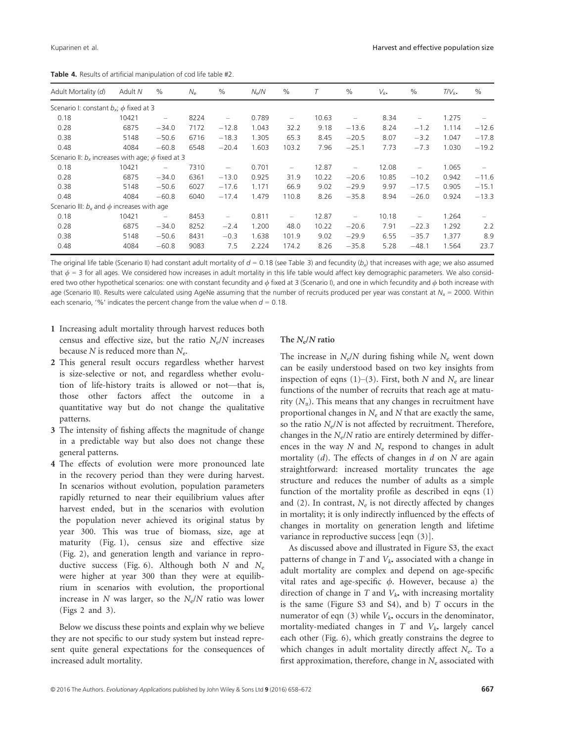| Adult Mortality (d)                                      | Adult N | $\%$                     | $N_e$ | $\%$                     | $N_e/N$ | $\frac{0}{0}$            |       | $\%$                     | $V_{k}$ | $\%$                     | $T/V_{k\bullet}$ | %       |
|----------------------------------------------------------|---------|--------------------------|-------|--------------------------|---------|--------------------------|-------|--------------------------|---------|--------------------------|------------------|---------|
| Scenario I: constant $b_x$ ; $\phi$ fixed at 3           |         |                          |       |                          |         |                          |       |                          |         |                          |                  |         |
| 0.18                                                     | 10421   | $\overline{\phantom{0}}$ | 8224  | $\overline{\phantom{0}}$ | 0.789   | $\overline{\phantom{0}}$ | 10.63 | $\overline{\phantom{0}}$ | 8.34    | $\overline{\phantom{0}}$ | 1.275            |         |
| 0.28                                                     | 6875    | $-34.0$                  | 7172  | $-12.8$                  | 1.043   | 32.2                     | 9.18  | $-13.6$                  | 8.24    | $-1.2$                   | 1.114            | $-12.6$ |
| 0.38                                                     | 5148    | $-50.6$                  | 6716  | $-18.3$                  | 1.305   | 65.3                     | 8.45  | $-20.5$                  | 8.07    | $-3.2$                   | 1.047            | $-17.8$ |
| 0.48                                                     | 4084    | $-60.8$                  | 6548  | $-20.4$                  | 1.603   | 103.2                    | 7.96  | $-25.1$                  | 7.73    | $-7.3$                   | 1.030            | $-19.2$ |
| Scenario II: $b_x$ increases with age; $\phi$ fixed at 3 |         |                          |       |                          |         |                          |       |                          |         |                          |                  |         |
| 0.18                                                     | 10421   | $\overline{\phantom{0}}$ | 7310  | $\overline{\phantom{0}}$ | 0.701   | $\overline{\phantom{0}}$ | 12.87 | $\overline{\phantom{0}}$ | 12.08   | $\overline{\phantom{0}}$ | 1.065            |         |
| 0.28                                                     | 6875    | $-34.0$                  | 6361  | $-13.0$                  | 0.925   | 31.9                     | 10.22 | $-20.6$                  | 10.85   | $-10.2$                  | 0.942            | $-11.6$ |
| 0.38                                                     | 5148    | $-50.6$                  | 6027  | $-17.6$                  | 1.171   | 66.9                     | 9.02  | $-29.9$                  | 9.97    | $-17.5$                  | 0.905            | $-15.1$ |
| 0.48                                                     | 4084    | $-60.8$                  | 6040  | $-17.4$                  | 1.479   | 110.8                    | 8.26  | $-35.8$                  | 8.94    | $-26.0$                  | 0.924            | $-13.3$ |
| Scenario III: $b_x$ and $\phi$ increases with age        |         |                          |       |                          |         |                          |       |                          |         |                          |                  |         |
| 0.18                                                     | 10421   | $\overline{\phantom{0}}$ | 8453  | $\overline{\phantom{0}}$ | 0.811   | $\overline{\phantom{0}}$ | 12.87 | $\overline{\phantom{0}}$ | 10.18   | $\overline{\phantom{0}}$ | 1.264            |         |
| 0.28                                                     | 6875    | $-34.0$                  | 8252  | $-2.4$                   | 1.200   | 48.0                     | 10.22 | $-20.6$                  | 7.91    | $-22.3$                  | 1.292            | 2.2     |
| 0.38                                                     | 5148    | $-50.6$                  | 8431  | $-0.3$                   | 1.638   | 101.9                    | 9.02  | $-29.9$                  | 6.55    | $-35.7$                  | 1.377            | 8.9     |
| 0.48                                                     | 4084    | $-60.8$                  | 9083  | 7.5                      | 2.224   | 174.2                    | 8.26  | $-35.8$                  | 5.28    | $-48.1$                  | 1.564            | 23.7    |

Table 4. Results of artificial manipulation of cod life table #2.

The original life table (Scenario II) had constant adult mortality of  $d = 0.18$  (see Table 3) and fecundity  $(b_x)$  that increases with age; we also assumed that  $\phi = 3$  for all ages. We considered how increases in adult mortality in this life table would affect key demographic parameters. We also considered two other hypothetical scenarios: one with constant fecundity and  $\phi$  fixed at 3 (Scenario I), and one in which fecundity and  $\phi$  both increase with age (Scenario III). Results were calculated using AgeNe assuming that the number of recruits produced per year was constant at  $N<sub>x</sub> = 2000$ . Within each scenario, '%' indicates the percent change from the value when  $d = 0.18$ .

- 1 Increasing adult mortality through harvest reduces both census and effective size, but the ratio  $N_e/N$  increases because N is reduced more than  $N_e$ .
- 2 This general result occurs regardless whether harvest is size-selective or not, and regardless whether evolution of life-history traits is allowed or not—that is, those other factors affect the outcome in a quantitative way but do not change the qualitative patterns.
- 3 The intensity of fishing affects the magnitude of change in a predictable way but also does not change these general patterns.
- 4 The effects of evolution were more pronounced late in the recovery period than they were during harvest. In scenarios without evolution, population parameters rapidly returned to near their equilibrium values after harvest ended, but in the scenarios with evolution the population never achieved its original status by year 300. This was true of biomass, size, age at maturity (Fig. 1), census size and effective size (Fig. 2), and generation length and variance in reproductive success (Fig. 6). Although both  $N$  and  $N_e$ were higher at year 300 than they were at equilibrium in scenarios with evolution, the proportional increase in N was larger, so the  $N_e/N$  ratio was lower (Figs 2 and 3).

Below we discuss these points and explain why we believe they are not specific to our study system but instead represent quite general expectations for the consequences of increased adult mortality.

# The  $N_e/N$  ratio

The increase in  $N_e/N$  during fishing while  $N_e$  went down can be easily understood based on two key insights from inspection of eqns (1)–(3). First, both N and  $N_e$  are linear functions of the number of recruits that reach age at maturity  $(N_{\alpha})$ . This means that any changes in recruitment have proportional changes in  $N_e$  and  $N$  that are exactly the same, so the ratio  $N_e/N$  is not affected by recruitment. Therefore, changes in the  $N_e/N$  ratio are entirely determined by differences in the way  $N$  and  $N_e$  respond to changes in adult mortality  $(d)$ . The effects of changes in  $d$  on  $N$  are again straightforward: increased mortality truncates the age structure and reduces the number of adults as a simple function of the mortality profile as described in eqns (1) and (2). In contrast,  $N_e$  is not directly affected by changes in mortality; it is only indirectly influenced by the effects of changes in mortality on generation length and lifetime variance in reproductive success [eqn (3)].

As discussed above and illustrated in Figure S3, the exact patterns of change in  $T$  and  $V_k$ , associated with a change in adult mortality are complex and depend on age-specific vital rates and age-specific  $\phi$ . However, because a) the direction of change in  $T$  and  $V_{k\bullet}$  with increasing mortality is the same (Figure S3 and S4), and b)  $T$  occurs in the numerator of eqn (3) while  $V_k$  occurs in the denominator, mortality-mediated changes in  $T$  and  $V_{k*}$  largely cancel each other (Fig. 6), which greatly constrains the degree to which changes in adult mortality directly affect  $N_e$ . To a first approximation, therefore, change in  $N_e$  associated with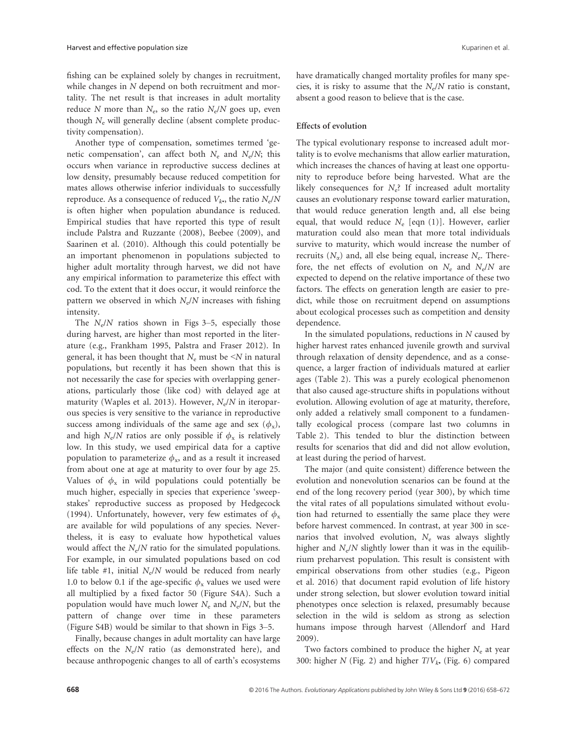fishing can be explained solely by changes in recruitment, while changes in N depend on both recruitment and mortality. The net result is that increases in adult mortality reduce N more than  $N_e$ , so the ratio  $N_e/N$  goes up, even though  $N_e$  will generally decline (absent complete productivity compensation).

Another type of compensation, sometimes termed 'genetic compensation', can affect both  $N_e$  and  $N_e/N$ ; this occurs when variance in reproductive success declines at low density, presumably because reduced competition for mates allows otherwise inferior individuals to successfully reproduce. As a consequence of reduced  $V_{k\bullet}$ , the ratio  $N_e/N$ is often higher when population abundance is reduced. Empirical studies that have reported this type of result include Palstra and Ruzzante (2008), Beebee (2009), and Saarinen et al. (2010). Although this could potentially be an important phenomenon in populations subjected to higher adult mortality through harvest, we did not have any empirical information to parameterize this effect with cod. To the extent that it does occur, it would reinforce the pattern we observed in which  $N_e/N$  increases with fishing intensity.

The  $N_e/N$  ratios shown in Figs 3–5, especially those during harvest, are higher than most reported in the literature (e.g., Frankham 1995, Palstra and Fraser 2012). In general, it has been thought that  $N_e$  must be  $\leq N$  in natural populations, but recently it has been shown that this is not necessarily the case for species with overlapping generations, particularly those (like cod) with delayed age at maturity (Waples et al. 2013). However,  $N_e/N$  in iteroparous species is very sensitive to the variance in reproductive success among individuals of the same age and sex  $(\phi_x)$ , and high  $N_e/N$  ratios are only possible if  $\phi_x$  is relatively low. In this study, we used empirical data for a captive population to parameterize  $\phi_x$ , and as a result it increased from about one at age at maturity to over four by age 25. Values of  $\phi_x$  in wild populations could potentially be much higher, especially in species that experience 'sweepstakes' reproductive success as proposed by Hedgecock (1994). Unfortunately, however, very few estimates of  $\phi_x$ are available for wild populations of any species. Nevertheless, it is easy to evaluate how hypothetical values would affect the  $N_e/N$  ratio for the simulated populations. For example, in our simulated populations based on cod life table #1, initial  $N_e/N$  would be reduced from nearly 1.0 to below 0.1 if the age-specific  $\phi_x$  values we used were all multiplied by a fixed factor 50 (Figure S4A). Such a population would have much lower  $N_e$  and  $N_e/N$ , but the pattern of change over time in these parameters (Figure S4B) would be similar to that shown in Figs 3–5.

Finally, because changes in adult mortality can have large effects on the  $N_e/N$  ratio (as demonstrated here), and because anthropogenic changes to all of earth's ecosystems have dramatically changed mortality profiles for many species, it is risky to assume that the  $N_e/N$  ratio is constant, absent a good reason to believe that is the case.

# Effects of evolution

The typical evolutionary response to increased adult mortality is to evolve mechanisms that allow earlier maturation, which increases the chances of having at least one opportunity to reproduce before being harvested. What are the likely consequences for  $N_e$ ? If increased adult mortality causes an evolutionary response toward earlier maturation, that would reduce generation length and, all else being equal, that would reduce  $N_e$  [eqn (1)]. However, earlier maturation could also mean that more total individuals survive to maturity, which would increase the number of recruits  $(N_{\alpha})$  and, all else being equal, increase  $N_{\rm e}$ . Therefore, the net effects of evolution on  $N_e$  and  $N_e/N$  are expected to depend on the relative importance of these two factors. The effects on generation length are easier to predict, while those on recruitment depend on assumptions about ecological processes such as competition and density dependence.

In the simulated populations, reductions in  $N$  caused by higher harvest rates enhanced juvenile growth and survival through relaxation of density dependence, and as a consequence, a larger fraction of individuals matured at earlier ages (Table 2). This was a purely ecological phenomenon that also caused age-structure shifts in populations without evolution. Allowing evolution of age at maturity, therefore, only added a relatively small component to a fundamentally ecological process (compare last two columns in Table 2). This tended to blur the distinction between results for scenarios that did and did not allow evolution, at least during the period of harvest.

The major (and quite consistent) difference between the evolution and nonevolution scenarios can be found at the end of the long recovery period (year 300), by which time the vital rates of all populations simulated without evolution had returned to essentially the same place they were before harvest commenced. In contrast, at year 300 in scenarios that involved evolution,  $N_e$  was always slightly higher and  $N_e/N$  slightly lower than it was in the equilibrium preharvest population. This result is consistent with empirical observations from other studies (e.g., Pigeon et al. 2016) that document rapid evolution of life history under strong selection, but slower evolution toward initial phenotypes once selection is relaxed, presumably because selection in the wild is seldom as strong as selection humans impose through harvest (Allendorf and Hard 2009).

Two factors combined to produce the higher  $N_e$  at year 300: higher  $N$  (Fig. 2) and higher  $T/V_{k*}$  (Fig. 6) compared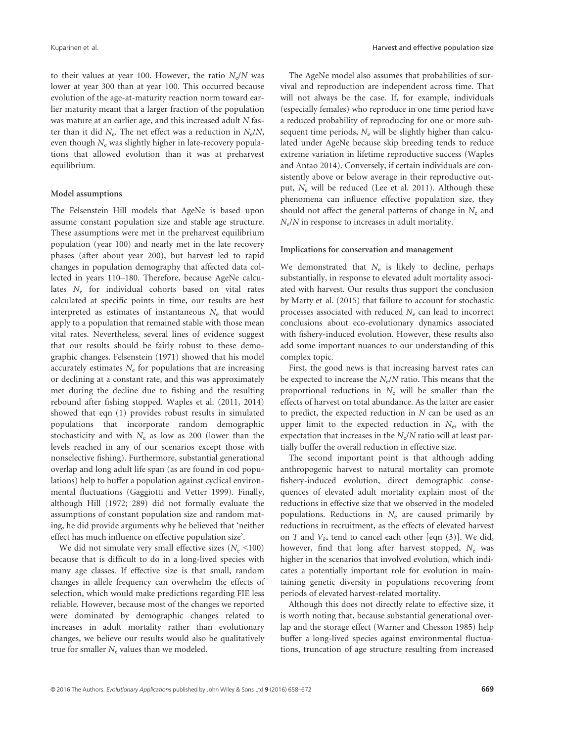to their values at year 100. However, the ratio  $N_e/N$  was lower at year 300 than at year 100. This occurred because evolution of the age-at-maturity reaction norm toward earlier maturity meant that a larger fraction of the population was mature at an earlier age, and this increased adult N faster than it did  $N_e$ . The net effect was a reduction in  $N_e/N$ , even though  $N_e$  was slightly higher in late-recovery populations that allowed evolution than it was at preharvest equilibrium.

# Model assumptions

The Felsenstein–Hill models that AgeNe is based upon assume constant population size and stable age structure. These assumptions were met in the preharvest equilibrium population (year 100) and nearly met in the late recovery phases (after about year 200), but harvest led to rapid changes in population demography that affected data collected in years 110–180. Therefore, because AgeNe calculates  $N_e$  for individual cohorts based on vital rates calculated at specific points in time, our results are best interpreted as estimates of instantaneous  $N_e$  that would apply to a population that remained stable with those mean vital rates. Nevertheless, several lines of evidence suggest that our results should be fairly robust to these demographic changes. Felsenstein (1971) showed that his model accurately estimates  $N_e$  for populations that are increasing or declining at a constant rate, and this was approximately met during the decline due to fishing and the resulting rebound after fishing stopped. Waples et al. (2011, 2014) showed that eqn (1) provides robust results in simulated populations that incorporate random demographic stochasticity and with  $N_e$  as low as 200 (lower than the levels reached in any of our scenarios except those with nonselective fishing). Furthermore, substantial generational overlap and long adult life span (as are found in cod populations) help to buffer a population against cyclical environmental fluctuations (Gaggiotti and Vetter 1999). Finally, although Hill (1972; 289) did not formally evaluate the assumptions of constant population size and random mating, he did provide arguments why he believed that 'neither effect has much influence on effective population size'.

We did not simulate very small effective sizes ( $N_e$  <100) because that is difficult to do in a long-lived species with many age classes. If effective size is that small, random changes in allele frequency can overwhelm the effects of selection, which would make predictions regarding FIE less reliable. However, because most of the changes we reported were dominated by demographic changes related to increases in adult mortality rather than evolutionary changes, we believe our results would also be qualitatively true for smaller  $N_e$  values than we modeled.

The AgeNe model also assumes that probabilities of survival and reproduction are independent across time. That will not always be the case. If, for example, individuals (especially females) who reproduce in one time period have a reduced probability of reproducing for one or more subsequent time periods,  $N_e$  will be slightly higher than calculated under AgeNe because skip breeding tends to reduce extreme variation in lifetime reproductive success (Waples and Antao 2014). Conversely, if certain individuals are consistently above or below average in their reproductive output,  $N_e$  will be reduced (Lee et al. 2011). Although these phenomena can influence effective population size, they should not affect the general patterns of change in  $N_e$  and  $N_e/N$  in response to increases in adult mortality.

# Implications for conservation and management

We demonstrated that  $N_e$  is likely to decline, perhaps substantially, in response to elevated adult mortality associated with harvest. Our results thus support the conclusion by Marty et al. (2015) that failure to account for stochastic processes associated with reduced  $N_e$  can lead to incorrect conclusions about eco-evolutionary dynamics associated with fishery-induced evolution. However, these results also add some important nuances to our understanding of this complex topic.

First, the good news is that increasing harvest rates can be expected to increase the  $N_e/N$  ratio. This means that the proportional reductions in  $N_e$  will be smaller than the effects of harvest on total abundance. As the latter are easier to predict, the expected reduction in  $N$  can be used as an upper limit to the expected reduction in  $N_{\rm e}$ , with the expectation that increases in the  $N_e/N$  ratio will at least partially buffer the overall reduction in effective size.

The second important point is that although adding anthropogenic harvest to natural mortality can promote fishery-induced evolution, direct demographic consequences of elevated adult mortality explain most of the reductions in effective size that we observed in the modeled populations. Reductions in  $N_e$  are caused primarily by reductions in recruitment, as the effects of elevated harvest on T and  $V_{k^*}$  tend to cancel each other [eqn (3)]. We did, however, find that long after harvest stopped,  $N_e$  was higher in the scenarios that involved evolution, which indicates a potentially important role for evolution in maintaining genetic diversity in populations recovering from periods of elevated harvest-related mortality.

Although this does not directly relate to effective size, it is worth noting that, because substantial generational overlap and the storage effect (Warner and Chesson 1985) help buffer a long-lived species against environmental fluctuations, truncation of age structure resulting from increased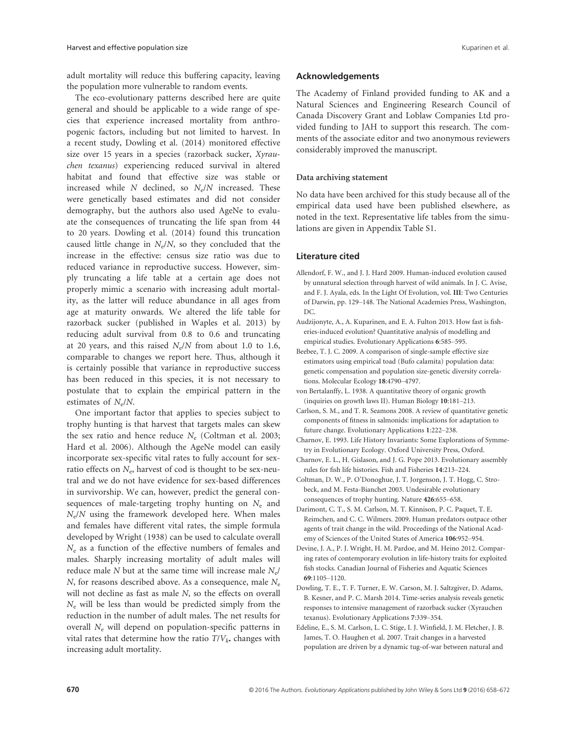adult mortality will reduce this buffering capacity, leaving the population more vulnerable to random events.

The eco-evolutionary patterns described here are quite general and should be applicable to a wide range of species that experience increased mortality from anthropogenic factors, including but not limited to harvest. In a recent study, Dowling et al. (2014) monitored effective size over 15 years in a species (razorback sucker, Xyrauchen texanus) experiencing reduced survival in altered habitat and found that effective size was stable or increased while  $N$  declined, so  $N_e/N$  increased. These were genetically based estimates and did not consider demography, but the authors also used AgeNe to evaluate the consequences of truncating the life span from 44 to 20 years. Dowling et al. (2014) found this truncation caused little change in  $N_e/N$ , so they concluded that the increase in the effective: census size ratio was due to reduced variance in reproductive success. However, simply truncating a life table at a certain age does not properly mimic a scenario with increasing adult mortality, as the latter will reduce abundance in all ages from age at maturity onwards. We altered the life table for razorback sucker (published in Waples et al. 2013) by reducing adult survival from 0.8 to 0.6 and truncating at 20 years, and this raised  $N_e/N$  from about 1.0 to 1.6, comparable to changes we report here. Thus, although it is certainly possible that variance in reproductive success has been reduced in this species, it is not necessary to postulate that to explain the empirical pattern in the estimates of  $N_e/N$ .

One important factor that applies to species subject to trophy hunting is that harvest that targets males can skew the sex ratio and hence reduce  $N_e$  (Coltman et al. 2003; Hard et al. 2006). Although the AgeNe model can easily incorporate sex-specific vital rates to fully account for sexratio effects on  $N_e$ , harvest of cod is thought to be sex-neutral and we do not have evidence for sex-based differences in survivorship. We can, however, predict the general consequences of male-targeting trophy hunting on  $N_e$  and  $N_e/N$  using the framework developed here. When males and females have different vital rates, the simple formula developed by Wright (1938) can be used to calculate overall  $N_e$  as a function of the effective numbers of females and males. Sharply increasing mortality of adult males will reduce male N but at the same time will increase male  $N_{e}$ /  $N$ , for reasons described above. As a consequence, male  $N_e$ will not decline as fast as male N, so the effects on overall  $N_e$  will be less than would be predicted simply from the reduction in the number of adult males. The net results for overall  $N_e$  will depend on population-specific patterns in vital rates that determine how the ratio  $T/V_k$  changes with increasing adult mortality.

# Acknowledgements

The Academy of Finland provided funding to AK and a Natural Sciences and Engineering Research Council of Canada Discovery Grant and Loblaw Companies Ltd provided funding to JAH to support this research. The comments of the associate editor and two anonymous reviewers considerably improved the manuscript.

# Data archiving statement

No data have been archived for this study because all of the empirical data used have been published elsewhere, as noted in the text. Representative life tables from the simulations are given in Appendix Table S1.

#### Literature cited

- Allendorf, F. W., and J. J. Hard 2009. Human-induced evolution caused by unnatural selection through harvest of wild animals. In J. C. Avise, and F. J. Ayala, eds. In the Light Of Evolution, vol. III: Two Centuries of Darwin, pp. 129–148. The National Academies Press, Washington, DC.
- Audzijonyte, A., A. Kuparinen, and E. A. Fulton 2013. How fast is fisheries-induced evolution? Quantitative analysis of modelling and empirical studies. Evolutionary Applications 6:585–595.
- Beebee, T. J. C. 2009. A comparison of single-sample effective size estimators using empirical toad (Bufo calamita) population data: genetic compensation and population size-genetic diversity correlations. Molecular Ecology 18:4790–4797.
- von Bertalanffy, L. 1938. A quantitative theory of organic growth (inquiries on growth laws II). Human Biology 10:181–213.
- Carlson, S. M., and T. R. Seamons 2008. A review of quantitative genetic components of fitness in salmonids: implications for adaptation to future change. Evolutionary Applications 1:222–238.
- Charnov, E. 1993. Life History Invariants: Some Explorations of Symmetry in Evolutionary Ecology. Oxford University Press, Oxford.
- Charnov, E. L., H. Gislason, and J. G. Pope 2013. Evolutionary assembly rules for fish life histories. Fish and Fisheries 14:213–224.
- Coltman, D. W., P. O'Donoghue, J. T. Jorgenson, J. T. Hogg, C. Strobeck, and M. Festa-Bianchet 2003. Undesirable evolutionary consequences of trophy hunting. Nature 426:655–658.
- Darimont, C. T., S. M. Carlson, M. T. Kinnison, P. C. Paquet, T. E. Reimchen, and C. C. Wilmers. 2009. Human predators outpace other agents of trait change in the wild. Proceedings of the National Academy of Sciences of the United States of America 106:952–954.
- Devine, J. A., P. J. Wright, H. M. Pardoe, and M. Heino 2012. Comparing rates of contemporary evolution in life-history traits for exploited fish stocks. Canadian Journal of Fisheries and Aquatic Sciences 69:1105–1120.
- Dowling, T. E., T. F. Turner, E. W. Carson, M. J. Saltzgiver, D. Adams, B. Kesner, and P. C. Marsh 2014. Time-series analysis reveals genetic responses to intensive management of razorback sucker (Xyrauchen texanus). Evolutionary Applications 7:339–354.
- Edeline, E., S. M. Carlson, L. C. Stige, I. J. Winfield, J. M. Fletcher, J. B. James, T. O. Haughen et al. 2007. Trait changes in a harvested population are driven by a dynamic tug-of-war between natural and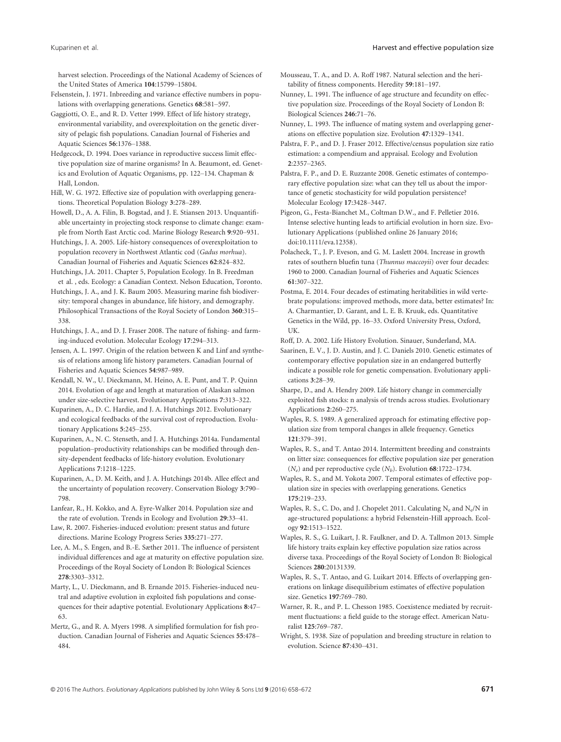harvest selection. Proceedings of the National Academy of Sciences of the United States of America 104:15799–15804.

- Felsenstein, J. 1971. Inbreeding and variance effective numbers in populations with overlapping generations. Genetics 68:581–597.
- Gaggiotti, O. E., and R. D. Vetter 1999. Effect of life history strategy, environmental variability, and overexploitation on the genetic diversity of pelagic fish populations. Canadian Journal of Fisheries and Aquatic Sciences 56:1376–1388.
- Hedgecock, D. 1994. Does variance in reproductive success limit effective population size of marine organisms? In A. Beaumont, ed. Genetics and Evolution of Aquatic Organisms, pp. 122–134. Chapman & Hall, London.
- Hill, W. G. 1972. Effective size of population with overlapping generations. Theoretical Population Biology 3:278–289.
- Howell, D., A. A. Filin, B. Bogstad, and J. E. Stiansen 2013. Unquantifiable uncertainty in projecting stock response to climate change: example from North East Arctic cod. Marine Biology Research 9:920–931.
- Hutchings, J. A. 2005. Life-history consequences of overexploitation to population recovery in Northwest Atlantic cod (Gadus morhua). Canadian Journal of Fisheries and Aquatic Sciences 62:824–832.
- Hutchings, J.A. 2011. Chapter 5, Population Ecology. In B. Freedman et al. , eds. Ecology: a Canadian Context. Nelson Education, Toronto.
- Hutchings, J. A., and J. K. Baum 2005. Measuring marine fish biodiversity: temporal changes in abundance, life history, and demography. Philosophical Transactions of the Royal Society of London 360:315– 338.
- Hutchings, J. A., and D. J. Fraser 2008. The nature of fishing- and farming-induced evolution. Molecular Ecology 17:294–313.
- Jensen, A. L. 1997. Origin of the relation between K and Linf and synthesis of relations among life history parameters. Canadian Journal of Fisheries and Aquatic Sciences 54:987–989.
- Kendall, N. W., U. Dieckmann, M. Heino, A. E. Punt, and T. P. Quinn 2014. Evolution of age and length at maturation of Alaskan salmon under size-selective harvest. Evolutionary Applications 7:313–322.
- Kuparinen, A., D. C. Hardie, and J. A. Hutchings 2012. Evolutionary and ecological feedbacks of the survival cost of reproduction. Evolutionary Applications 5:245–255.
- Kuparinen, A., N. C. Stenseth, and J. A. Hutchings 2014a. Fundamental population–productivity relationships can be modified through density-dependent feedbacks of life-history evolution. Evolutionary Applications 7:1218–1225.
- Kuparinen, A., D. M. Keith, and J. A. Hutchings 2014b. Allee effect and the uncertainty of population recovery. Conservation Biology 3:790– 798.
- Lanfear, R., H. Kokko, and A. Eyre-Walker 2014. Population size and the rate of evolution. Trends in Ecology and Evolution 29:33–41.
- Law, R. 2007. Fisheries-induced evolution: present status and future directions. Marine Ecology Progress Series 335:271–277.
- Lee, A. M., S. Engen, and B.-E. Sæther 2011. The influence of persistent individual differences and age at maturity on effective population size. Proceedings of the Royal Society of London B: Biological Sciences 278:3303–3312.
- Marty, L., U. Dieckmann, and B. Ernande 2015. Fisheries-induced neutral and adaptive evolution in exploited fish populations and consequences for their adaptive potential. Evolutionary Applications 8:47– 63.
- Mertz, G., and R. A. Myers 1998. A simplified formulation for fish production. Canadian Journal of Fisheries and Aquatic Sciences 55:478– 484.
- Mousseau, T. A., and D. A. Roff 1987. Natural selection and the heritability of fitness components. Heredity 59:181–197.
- Nunney, L. 1991. The influence of age structure and fecundity on effective population size. Proceedings of the Royal Society of London B: Biological Sciences 246:71–76.
- Nunney, L. 1993. The influence of mating system and overlapping generations on effective population size. Evolution 47:1329–1341.
- Palstra, F. P., and D. J. Fraser 2012. Effective/census population size ratio estimation: a compendium and appraisal. Ecology and Evolution 2:2357–2365.
- Palstra, F. P., and D. E. Ruzzante 2008. Genetic estimates of contemporary effective population size: what can they tell us about the importance of genetic stochasticity for wild population persistence? Molecular Ecology 17:3428–3447.
- Pigeon, G., Festa-Bianchet M., Coltman D.W., and F. Pelletier 2016. Intense selective hunting leads to artificial evolution in horn size. Evolutionary Applications (published online 26 January 2016; doi:[10.1111/eva.12358\)](http://dx.doi.org/10.1111/eva.12358).
- Polacheck, T., J. P. Eveson, and G. M. Laslett 2004. Increase in growth rates of southern bluefin tuna (Thunnus maccoyii) over four decades: 1960 to 2000. Canadian Journal of Fisheries and Aquatic Sciences 61:307–322.
- Postma, E. 2014. Four decades of estimating heritabilities in wild vertebrate populations: improved methods, more data, better estimates? In: A. Charmantier, D. Garant, and L. E. B. Kruuk, eds. Quantitative Genetics in the Wild, pp. 16–33. Oxford University Press, Oxford, UK.
- Roff, D. A. 2002. Life History Evolution. Sinauer, Sunderland, MA.
- Saarinen, E. V., J. D. Austin, and J. C. Daniels 2010. Genetic estimates of contemporary effective population size in an endangered butterfly indicate a possible role for genetic compensation. Evolutionary applications 3:28–39.
- Sharpe, D., and A. Hendry 2009. Life history change in commercially exploited fish stocks: n analysis of trends across studies. Evolutionary Applications 2:260–275.
- Waples, R. S. 1989. A generalized approach for estimating effective population size from temporal changes in allele frequency. Genetics 121:379–391.
- Waples, R. S., and T. Antao 2014. Intermittent breeding and constraints on litter size: consequences for effective population size per generation  $(N_e)$  and per reproductive cycle  $(N_b)$ . Evolution 68:1722–1734.
- Waples, R. S., and M. Yokota 2007. Temporal estimates of effective population size in species with overlapping generations. Genetics 175:219–233.
- Waples, R. S., C. Do, and J. Chopelet 2011. Calculating  $N_e$  and  $N_e/N$  in age-structured populations: a hybrid Felsenstein-Hill approach. Ecology 92:1513–1522.
- Waples, R. S., G. Luikart, J. R. Faulkner, and D. A. Tallmon 2013. Simple life history traits explain key effective population size ratios across diverse taxa. Proceedings of the Royal Society of London B: Biological Sciences 280:20131339.
- Waples, R. S., T. Antao, and G. Luikart 2014. Effects of overlapping generations on linkage disequilibrium estimates of effective population size. Genetics 197:769–780.
- Warner, R. R., and P. L. Chesson 1985. Coexistence mediated by recruitment fluctuations: a field guide to the storage effect. American Naturalist 125:769–787.
- Wright, S. 1938. Size of population and breeding structure in relation to evolution. Science 87:430–431.